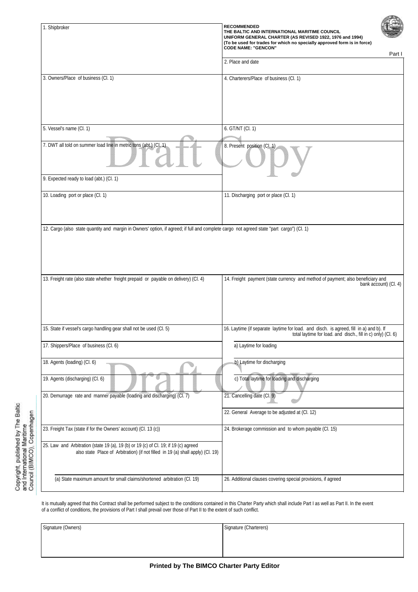| 1. Shipbroker                                                                                                                                                          | <b>RECOMMENDED</b><br>THE BALTIC AND INTERNATIONAL MARITIME COUNCIL<br>UNIFORM GENERAL CHARTER (AS REVISED 1922, 1976 and 1994)<br>(To be used for trades for which no specially approved form is in force)<br><b>CODE NAME: "GENCON"</b> |
|------------------------------------------------------------------------------------------------------------------------------------------------------------------------|-------------------------------------------------------------------------------------------------------------------------------------------------------------------------------------------------------------------------------------------|
|                                                                                                                                                                        | Part I<br>2. Place and date                                                                                                                                                                                                               |
|                                                                                                                                                                        |                                                                                                                                                                                                                                           |
| 3. Owners/Place of business (Cl. 1)                                                                                                                                    | 4. Charterers/Place of business (Cl. 1)                                                                                                                                                                                                   |
| 5. Vessel's name (Cl. 1)                                                                                                                                               | 6. GT/NT (Cl. 1)                                                                                                                                                                                                                          |
| 7. DWT all told on summer load line in metric tons (abt.) (Cl. 1)                                                                                                      | 8. Present position (Cl. 1)                                                                                                                                                                                                               |
| 9. Expected ready to load (abt.) (Cl. 1)                                                                                                                               |                                                                                                                                                                                                                                           |
| 10. Loading port or place (Cl. 1)                                                                                                                                      | 11. Discharging port or place (Cl. 1)                                                                                                                                                                                                     |
| 13. Freight rate (also state whether freight prepaid or payable on delivery) (Cl. 4)                                                                                   | 14. Freight payment (state currency and method of payment; also beneficiary and<br>bank account) (Cl. 4)                                                                                                                                  |
| 15. State if vessel's cargo handling gear shall not be used (Cl. 5)                                                                                                    | 16. Laytime (if separate laytime for load. and disch. is agreed, fill in a) and b). If<br>total laytime for load. and disch., fill in c) only) (Cl. 6)                                                                                    |
| 17. Shippers/Place of business (Cl. 6)                                                                                                                                 | a) Laytime for loading                                                                                                                                                                                                                    |
| 18. Agents (loading) (Cl. 6)                                                                                                                                           | b) Laytime for discharging                                                                                                                                                                                                                |
| 19. Agents (discharging) (Cl. 6)                                                                                                                                       | c) Total laytime for loading and discharging                                                                                                                                                                                              |
| 20. Demurrage rate and manner payable (loading and discharging) (Cl. 7)                                                                                                | 21. Cancelling date (Cl. 9)                                                                                                                                                                                                               |
|                                                                                                                                                                        | 22. General Average to be adjusted at (Cl. 12)                                                                                                                                                                                            |
| 23. Freight Tax (state if for the Owners' account) (Cl. 13 (c))                                                                                                        | 24. Brokerage commission and to whom payable (Cl. 15)                                                                                                                                                                                     |
| 25. Law and Arbitration (state 19 (a), 19 (b) or 19 (c) of Cl. 19; if 19 (c) agreed<br>also state Place of Arbitration) (if not filled in 19 (a) shall apply) (Cl. 19) |                                                                                                                                                                                                                                           |
| (a) State maximum amount for small claims/shortened arbitration (Cl. 19)                                                                                               | 26. Additional clauses covering special provisions, if agreed                                                                                                                                                                             |

It is mutually agreed that this Contract shall be performed subject to the conditions contained in this Charter Party which shall include Part I as well as Part II. In the event of a conflict of conditions, the provisions of Part I shall prevail over those of Part II to the extent of such conflict.

Signature (Owners) Signature (Charterers)

Copyright, published by The Baltic<br>and International Maritime<br>Council (BIMCO), Copenhagen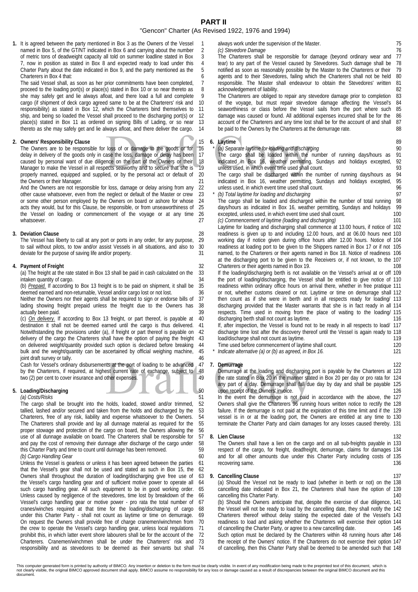# **PART II** "Gencon" Charter (As Revised 1922, 1976 and 1994)

**1.** It is agreed between the party mentioned in Box 3 as the Owners of the Vessel 1 named in Box 5, of the GT/NT indicated in Box 6 and carrying about the number 2 of metric tons of deadweight capacity all told on summer loadline stated in Box 3 of metric tons of deadweight capacity all told on summer loadline stated in Box 3 7, now in position as stated in Box 8 and expected ready to load under this  $4 \overline{})$ <br>Charter Party about the date indicated in Box 9, and the party mentioned as the 5 Charter Party about the date indicated in Box 9, and the party mentioned as the 5 Charterers in Box 4 that: 6

The said Vessel shall, as soon as her prior commitments have been completed, 7 proceed to the loading port(s) or place(s) stated in Box 10 or so near thereto as 8 she may safely get and lie always afloat, and there load a full and complete 9 cargo (if shipment of deck cargo agreed same to be at the Charterers' risk and 10 cargo (if shipment of deck cargo agreed same to be at the Charterers' risk and responsibility) as stated in Box 12, which the Charterers bind themselves to 11 ship, and being so loaded the Vessel shall proceed to the discharging port(s) or 12 place(s) stated in Box 11 as ordered on signing Bills of Lading, or so near 13<br>thereto as she may safely get and lie always afloat and there deliver the cargo 14 thereto as she may safely get and lie always afloat, and there deliver the cargo.

# **2. Owners' Responsibility Clause** 15

The Owners are to be responsible for loss of or damage to the goods or for 16 delay in delivery of the goods only in case the loss damage or delay has been 17 delay in delivery of the goods only in case the loss, damage or delay has been caused by personal want of due diligence on the part of the Owners or their 18<br>Manager to make the Vessel in all respects seaworthy and to secure that she is 19 Manager to make the Vessel in all respects seaworthy and to secure that she is properly manned, equipped and supplied, or by the personal act or default of 20 12<br>the Owners or their Manager.<br>And the Owners are not responsible for loss damage or delay arising from any 22

And the Owners are not responsible for loss, damage or delay arising from any 22 other cause whatsoever even from the neglect or default of the Master or crew other cause whatsoever, even from the neglect or default of the Master or crew or some other person employed by the Owners on board or ashore for whose 24<br>acts they would but for this Clause, be responsible, or from unseaworthiness of 25 acts they would, but for this Clause, be responsible, or from unseaworthiness of 25<br>the Vessel on loading or commencement of the voyage or at any time 26 the Vessel on loading or commencement of the voyage or at any time whatsoever. 27

# **3. Deviation Clause** 28

The Vessel has liberty to call at any port or ports in any order, for any purpose, 29 to sail without pilots, to tow and/or assist Vessels in all situations, and also to 30<br>deviate for the purpose of saving life and/or property. deviate for the purpose of saving life and/or property.

**4. Payment of Freight** 32 (a) The freight at the rate stated in Box 13 shall be paid in cash calculated on the intaken quantity of cargo.<br>(b) Prepaid. If according to Box 13 freight is to be paid on shipment, it shall be 35

(b) *Prepaid.* If according to Box 13 freight is to be paid on shipment, it shall be deemed earned and non-returnable, Vessel and/or cargo lost or not lost. 36<br>Neither the Owners nor their agents shall be required to sign or endorse bills of 37

Neither the Owners nor their agents shall be required to sign or endorse bills of lading showing freight prepaid unless the freight due to the Owners has 38<br>actually been paid actually been paid.  $\frac{39}{100}$ <br>(c) On delivery If according to Box 13 freight or part thereof is payable at 40

(c) *On delivery*. If according to Box 13 freight, or part thereof, is payable at destination it shall not be deemed earned until the cargo is thus delivered. 41<br>Notwithstanding the provisions under (a) if freight or part thereof is payable on 42 Notwithstanding the provisions under (a), if freight or part thereof is payable on delivery of the cargo the Charterers shall have the option of paying the freight 43 on delivered weight/quantity provided such option is declared before breaking 44<br>bulk and the weight/quantity can be ascertained by official weighting machine. 45 bulk and the weight/quantity can be ascertained by official weighing machine, joint draft survey or tally.  $46$ 

Cash for Vessel's ordinary disbursements at the port of loading to be advanced 47 by the Charterers, if required, at highest current rate of exchange, subject to  $\frac{48}{49}$ <br>two (2) per cent to cover insurance and other expenses two (2) per cent to cover insurance and other expenses.

# **5.** Loading/Discharging<br>(a) Costs/Risks 50

*(a) Costs/Risks* The cargo shall be brought into the holds, loaded, stowed and/or trimmed, 52<br>tallied lashed and/or secured and taken from the holds and discharged by the 53

tallied, lashed and/or secured and taken from the holds and discharged by the Charterers, free of any risk, liability and expense whatsoever to the Owners. 54 The Charterers shall provide and lay all dunnage material as required for the proper stowage and protection of the cargo on board, the Owners allowing the 56 use of all dunnage available on board. The Charterers shall be responsible for 57 use of all dunnage available on board. The Charterers shall be responsible for and pay the cost of removing their dunnage after discharge of the cargo under 58<br>this Charter Party and time to count until dunnage has been removed. this Charter Party and time to count until dunnage has been removed. <sup>59</sup> 59<br>(b) Cargo Handling Gear *(b) Cargo Handling Gear* 

Unless the Vessel is gearless or unless it has been agreed between the parties 61 that the Vessel's gear shall not be used and stated as such in Box 15, the 62 Owners shall throughout the duration of loading/discharging give free use of 63 the Vessel's cargo handling gear and of sufficient motive power to operate all 64 such cargo handling gear. All such equipment to be in good working order. 65 Unless caused by negligence of the stevedores, time lost by breakdown of the 66 Vessel's cargo handling gear or motive power - pro rata the total number of 67 cranes/winches required at that time for the loading/discharging of cargo 68 under this Charter Party - shall not count as laytime or time on demurrage. On request the Owners shall provide free of charge cranemen/winchmen from 70<br>the crew to operate the Vessel's cargo handling gear, unless local regulations 71 the crew to operate the Vessel's cargo handling gear, unless local regulations 71 prohibit this, in which latter event shore labourers shall be for the account of the 72 prohibit this, in which latter event shore labourers shall be for the account of the Charterers. Cranemen/winchmen shall be under the Charterers' risk and 73 responsibility and as stevedores to be deemed as their servants but shall 74

always work under the supervision of the Master. 75

*(c) Stevedore Damage* 76 The Charterers shall be responsible for damage (beyond ordinary wear and tear) to any part of the Vessel caused by Stevedores. Such damage shall be 78<br>potified as soon as reasonably possible by the Master to the Charterers or their 79 notified as soon as reasonably possible by the Master to the Charterers or their agents and to their Stevedores, failing which the Charterers shall not be held 80 responsible. The Master shall endeavour to obtain the Stevedores' written 81 acknowledgement of liability. 82

The Charterers are obliged to repair any stevedore damage prior to completion 83<br>of the voyage, but must repair stevedore damage affecting the Vessel's 84 of the voyage, but must repair stevedore damage affecting the Vessel's seaworthiness or class before the Vessel sails from the port where such 85 damage was caused or found. All additional expenses incurred shall be for the 86 account of the Charterers and any time lost shall be for the account of and shall 87<br>be paid to the Owners by the Charterers at the demurrage rate. be paid to the Owners by the Charterers at the demurrage rate.

**6. Laytime**<br> **6. Laytime** *Laytime* for loading and discharging<br> **6.** Cal Separate laytime for loading and discharging *(a) Separate laytime for loading and discharging* The cargo shall be loaded within the number of running days/hours as 91 indicated in Box 16, weather permitting, Sundays and holidays excepted, 92 unless used, in which event time used shall count. 93 The cargo shall be discharged within the number of running days/hours as 94 indicated in Box 16, weather permitting, Sundays and holidays excepted, 95 indicated in Box 16, weather permitting, Sundays and holidays excepted, 95 unless used, in which event time used shall count.<br>(b) Total laytime for loading and discharging on the state of 90 *(b) Total laytime for loading and discharging* The cargo shall be loaded and discharged within the number of total running 98 days/hours as indicated in Box 16 weather permitting Sundays and bolidays 99 days/hours as indicated in Box 16, weather permitting, Sundays and holidays excepted, unless used, in which event time used shall count. 100 *(c) Commencement of laytime (loading and discharging)* 101 Laytime for loading and discharging shall commence at 13.00 hours, if notice of 102 readiness is given up to and including 12.00 hours, and at 06.00 hours next 103 working day if notice given during office hours after 12.00 hours. Notice of 104 readiness at loading port to be given to the Shippers named in Box 17 or if not 105 named, to the Charterers or their agents named in Box 18. Notice of readiness 106 at the discharging port to be given to the Receivers or, if not known, to the 107 Charterers or their agents named in Box 19. If the loading/discharging berth is not available on the Vessel's arrival at or off 109 the port of loading/discharging, the Vessel shall be entitled to give notice of 110 readiness within ordinary office hours on arrival there, whether in free pratique 111 or not, whether customs cleared or not. Laytime or time on demurrage shall 112 then count as if she were in berth and in all respects ready for loading/ 113 discharging provided that the Master warrants that she is in fact ready in all 114 respects. Time used in moving from the place of waiting to the loading/ 115<br>discharging berth shall not count as laytime discharging berth shall not count as laytime. If, after inspection, the Vessel is found not to be ready in all respects to load/ 117 discharge time lost after the discovery thereof until the Vessel is again ready to 118 load/discharge shall not count as laytime. 119 Time used before commencement of laytime shall count.<br>
Indicate alternative (a) or (b) as agreed. in Box 16. 121 Indicate alternative (a) or (b) as agreed, in Box 16. **7. Demurrage** 122 Demurrage at the loading and discharging port is payable by the Charterers at 123

the rate stated in Box 20 in the manner stated in Box 20 per day or pro rata for 124 any part of a day. Demurrage shall fall due day by day and shall be payable 125 upon receipt of the Owners' invoice. In the event the demurrage is not paid in accordance with the above, the 127 Owners shall give the Charterers 96 running hours written notice to rectify the 128 failure. If the demurrage is not paid at the expiration of this time limit and if the 129 vessel is in or at the loading port, the Owners are entitled at any time to 130

terminate the Charter Party and claim damages for any losses caused thereby. 131

### **8. Lien Clause** 132

The Owners shall have a lien on the cargo and on all sub-freights payable in 133 respect of the cargo, for freight, deadfreight, demurrage, claims for damages 134<br>and for all other amounts due under this Charter Party including costs of 135 and for all other amounts due under this Charter Party including costs of recovering same. 136

**9. Cancelling Clause** 137 (a) Should the Vessel not be ready to load (whether in berth or not) on the 138 cancelling date indicated in Box 21, the Charterers shall have the option of 139 cancelling this Charter Party. 140 (b) Should the Owners anticipate that, despite the exercise of due diligence, 141 the Vessel will not be ready to load by the cancelling date, they shall notify the 142 Charterers thereof without delay stating the expected date of the Vessel's 143 readiness to load and asking whether the Charterers will exercise their option 144 of cancelling the Charter Party, or agree to a new cancelling date. Such option must be declared by the Charterers within 48 running hours after 146 the receipt of the Owners' notice. If the Charterers do not exercise their option 147

of cancelling, then this Charter Party shall be deemed to be amended such that 148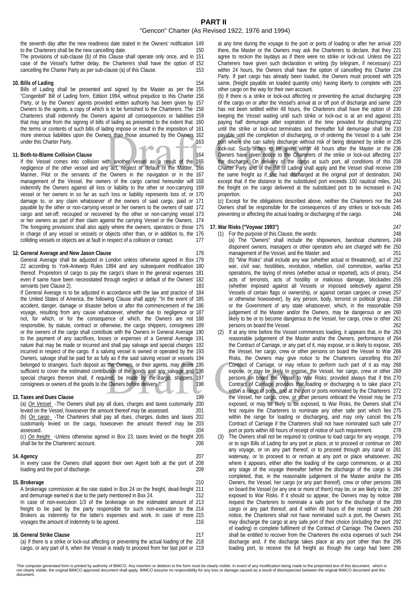the seventh day after the new readiness date stated in the Owners' notification 149 to the Charterers shall be the new cancelling date. 150 The provisions of sub-clause (b) of this Clause shall operate only once, and in 151

case of the Vessel's further delay, the Charterers shall have the option of 152<br>cancelling the Charter Party as per sub clause (a) of this Clause cancelling the Charter Party as per sub-clause (a) of this Clause.

### **10. Bills of Lading** 154

Bills of Lading shall be presented and signed by the Master as per the 155 "Congenbill" Bill of Lading form, Edition 1994, without prejudice to this Charter 156 Party, or by the Owners' agents provided written authority has been given by 157 Owners to the agents, a copy of which is to be furnished to the Charterers. The 158 Charterers shall indemnify the Owners against all consequences or liabilities 159 that may arise from the signing of bills of lading as presented to the extent that 160 the terms or contents of such bills of lading impose or result in the imposition of 161 more onerous liabilities upon the Owners than those assumed by the Owners 162<br>163 under this Charter Party.

### **11. Both-to-Blame Collision Clause** 164

If the Vessel comes into collision with another vessel as a result of the 165 negligence of the other vessel and any act, neglect or default of the Master, 166 Mariner, Pilot or the servants of the Owners in the navigation or in the 167 management of the Vessel, the owners of the cargo carried hereunder will 168 indemnify the Owners against all loss or liability to the other or non-carrying 169 vessel or her owners in so far as such loss or liability represents loss of, or 170 damage to, or any claim whatsoever of the owners of said cargo, paid or 171 payable by the other or non-carrying vessel or her owners to the owners of said 172 cargo and set-off, recouped or recovered by the other or non-carrying vessel 173 or her owners as part of their claim against the carrying Vessel or the Owners. 174 The foregoing provisions shall also apply where the owners, operators or those 175 in charge of any vessel or vessels or objects other than, or in addition to, the 176 colliding vessels or objects are at fault in respect of a collision or contact. 177

#### **12. General Average and New Jason Clause** 178

General Average shall be adjusted in London unless otherwise agreed in Box 179 22 according to York-Antwerp Rules 1994 and any subsequent modification 180 thereof. Proprietors of cargo to pay the cargo's share in the general expenses 181 even if same have been necessitated through neglect or default of the Owners' 182 servants (see Clause 2).

If General Average is to be adjusted in accordance with the law and practice of 184 the United States of America, the following Clause shall apply: "In the event of 185 accident, danger, damage or disaster before or after the commencement of the 186 voyage, resulting from any cause whatsoever, whether due to negligence or 187 not, for which, or for the consequence of which, the Owners are not 188 responsible, by statute, contract or otherwise, the cargo shippers, consignees 189 or the owners of the cargo shall contribute with the Owners in General Average 190 to the payment of any sacrifices, losses or expenses of a General Average 191 nature that may be made or incurred and shall pay salvage and special charges 192 incurred in respect of the cargo. If a salving vessel is owned or operated by the 193 Owners, salvage shall be paid for as fully as if the said salving vessel or vessels 194 belonged to strangers. Such deposit as the Owners, or their agents, may deem 195 sufficient to cover the estimated contribution of the goods and any salvage and 196 special charges thereon shall, if required, be made by the cargo, shippers, 197 consignees or owners of the goods to the Owners before delivery. 198

# **13. Taxes and Dues Clause** 199

(a) *On Vessel* -The Owners shall pay all dues, charges and taxes customarily 200 levied on the Vessel, howsoever the amount thereof may be assessed. (b) *On cargo* -The Charterers shall pay all dues, charges, duties and taxes 202 customarily levied on the cargo, howsoever the amount thereof may be 203 assessed. 204

(c) *On freight* -Unless otherwise agreed in Box 23, taxes levied on the freight 205 shall be for the Charterers' account. <sup>2</sup> 206

#### **14. Agency** 207

In every case the Owners shall appoint their own Agent both at the port of 208 loading and the port of discharge.

### **15. Brokerage** 210

A brokerage commission at the rate stated in Box 24 on the freight, dead-freight 211 and demurrage earned is due to the party mentioned in Box 24. In case of non-execution 1/3 of the brokerage on the estimated amount of 213 freight to be paid by the party responsible for such non-execution to the 214 Brokers as indemnity for the latter's expenses and work. In case of more 215 voyages the amount of indemnity to be agreed. 216

### **16. General Strike Clause** 217

(a) If there is a strike or lock-out affecting or preventing the actual loading of the 218 cargo, or any part of it, when the Vessel is ready to proceed from her last port or 219 at any time during the voyage to the port or ports of loading or after her arrival 220 there, the Master or the Owners may ask the Charterers to declare, that they 221 agree to reckon the laydays as if there were no strike or lock-out. Unless the 222 Charterers have given such declaration in writing (by telegram, if necessary) 223 within 24 hours, the Owners shall have the option of cancelling this Charter 224 Party. If part cargo has already been loaded, the Owners must proceed with 225 same, (freight payable on loaded quantity only) having liberty to complete with 226 other cargo on the way for their own account. 227 (b) If there is a strike or lock-out affecting or preventing the actual discharging 228 of the cargo on or after the Vessel's arrival at or off port of discharge and same 229 has not been settled within 48 hours, the Charterers shall have the option of 230 keeping the Vessel waiting until such strike or lock-out is at an end against 231 paying half demurrage after expiration of the time provided for discharging 232 until the strike or lock-out terminates and thereafter full demurrage shall be 233 payable until the completion of discharging, or of ordering the Vessel to a safe 234 port where she can safely discharge without risk of being detained by strike or 235 lock-out. Such orders to be given within 48 hours after the Master or the 236 Owners have given notice to the Charterers of the strike or lock-out affecting 237 the discharge. On delivery of the cargo at such port, all conditions of this 238 Charter Party and of the Bill of Lading shall apply and the Vessel shall receive 239 the same freight as if she had discharged at the original port of destination, 240 except that if the distance to the substituted port exceeds 100 nautical miles, 241 the freight on the cargo delivered at the substituted port to be increased in 242 proportion. 243

(c) Except for the obligations described above, neither the Charterers nor the 244 Owners shall be responsible for the consequences of any strikes or lock-outs 245 preventing or affecting the actual loading or discharging of the cargo. 246

### **17. War Risks ("Voywar 1993")** 247

(1) For the purpose of this Clause, the words: 248

- (a) The "Owners" shall include the shipowners, bareboat charterers, 249 disponent owners, managers or other operators who are charged with the 250 management of the Vessel, and the Master; and 251 (b) "War Risks" shall include any war (whether actual or threatened), act of 252 war, civil war, hostilities, revolution, rebellion, civil commotion, warlike 253 operations, the laying of mines (whether actual or reported), acts of piracy, 254 acts of terrorists, acts of hostility or malicious damage, blockades 255 (whether imposed against all Vessels or imposed selectively against 256 Vessels of certain flags or ownership, or against certain cargoes or crews 257 or otherwise howsoever), by any person, body, terrorist or political group, 258 or the Government of any state whatsoever, which, in the reasonable 259 judgement of the Master and/or the Owners, may be dangerous or are 260 likely to be or to become dangerous to the Vessel, her cargo, crew or other 261 persons on board the Vessel. **262**
- If at any time before the Vessel commences loading, it appears that, in the 263 reasonable judgement of the Master and/or the Owners, performance of 264 the Contract of Carriage, or any part of it, may expose, or is likely to expose, 265 the Vessel, her cargo, crew or other persons on board the Vessel to War 266 Risks, the Owners may give notice to the Charterers cancelling this 267 Contract of Carriage, or may refuse to perform such part of it as may 268 expose, or may be likely to expose, the Vessel, her cargo, crew or other 269 persons on board the Vessel to War Risks; provided always that if this 270 Contract of Carriage provides that loading or discharging is to take place 271 within a range of ports, and at the port or ports nominated by the Charterers 272 the Vessel, her cargo, crew, or other persons onboard the Vessel may be 273 exposed, or may be likely to be exposed, to War Risks, the Owners shall 274 first require the Charterers to nominate any other safe port which lies 275 within the range for loading or discharging, and may only cancel this 276 Contract of Carriage if the Charterers shall not have nominated such safe 277 port or ports within 48 hours of receipt of notice of such requirement. 278
- The Owners shall not be required to continue to load cargo for any voyage, 279 or to sign Bills of Lading for any port or place, or to proceed or continue on 280 any voyage, or on any part thereof, or to proceed through any canal or 281 waterway, or to proceed to or remain at any port or place whatsoever, 282 where it appears, either after the loading of the cargo commences, or at 283 any stage of the voyage thereafter before the discharge of the cargo is 284 completed, that, in the reasonable judgement of the Master and/or the 285 Owners, the Vessel, her cargo (or any part thereof), crew or other persons 286 on board the Vessel (or any one or more of them) may be, or are likely to be, 287 exposed to War Risks. If it should so appear, the Owners may by notice 288 request the Charterers to nominate a safe port for the discharge of the 289 cargo or any part thereof, and if within 48 hours of the receipt of such 290 notice, the Charterers shall not have nominated such a port, the Owners 291 may discharge the cargo at any safe port of their choice (including the port 292 of loading) in complete fulfilment of the Contract of Carriage. The Owners 293 shall be entitled to recover from the Charterers the extra expenses of such 294 discharge and, if the discharge takes place at any port other than the 295 loading port, to receive the full freight as though the cargo had been 296